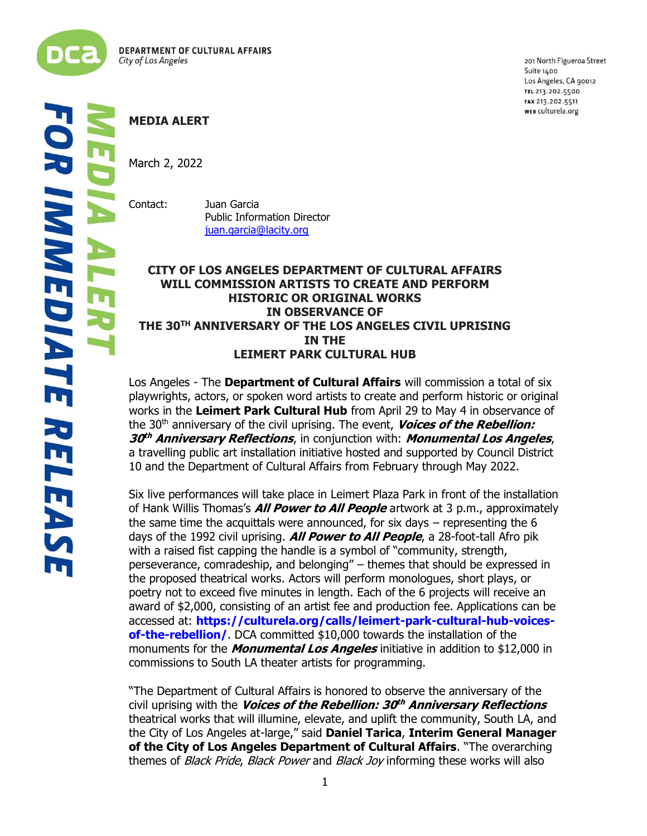

201 North Figueroa Street Suite 1400 Los Angeles, CA 90012 TEL 213.202.5500 FAX 213.202.5511 WEB culturela.org

## **MEDIA ALERT**

March 2, 2022

Contact: Juan Garcia Public Information Director [juan.garcia@lacity.org](mailto:juan.garcia@lacity.org)

## **CITY OF LOS ANGELES DEPARTMENT OF CULTURAL AFFAIRS WILL COMMISSION ARTISTS TO CREATE AND PERFORM HISTORIC OR ORIGINAL WORKS IN OBSERVANCE OF THE 30TH ANNIVERSARY OF THE LOS ANGELES CIVIL UPRISING IN THE LEIMERT PARK CULTURAL HUB**

Los Angeles - The **Department of Cultural Affairs** will commission a total of six playwrights, actors, or spoken word artists to create and perform historic or original works in the **Leimert Park Cultural Hub** from April 29 to May 4 in observance of the 30th anniversary of the civil uprising. The event, **Voices of the Rebellion: 30 th Anniversary Reflections**, in conjunction with: **Monumental Los Angeles**, a travelling public art installation initiative hosted and supported by Council District 10 and the Department of Cultural Affairs from February through May 2022.

Six live performances will take place in Leimert Plaza Park in front of the installation of Hank Willis Thomas's **All Power to All People** artwork at 3 p.m., approximately the same time the acquittals were announced, for six days – representing the 6 days of the 1992 civil uprising. **All Power to All People**, a 28-foot-tall Afro pik with a raised fist capping the handle is a symbol of "community, strength, perseverance, comradeship, and belonging" – themes that should be expressed in the proposed theatrical works. Actors will perform monologues, short plays, or poetry not to exceed five minutes in length. Each of the 6 projects will receive an award of \$2,000, consisting of an artist fee and production fee. Applications can be accessed at: **[https://culturela.org/calls/leimert-park-cultural-hub-voices](https://culturela.org/calls/leimert-park-cultural-hub-voices-of-the-rebellion/)[of-the-rebellion/](https://culturela.org/calls/leimert-park-cultural-hub-voices-of-the-rebellion/)**. DCA committed \$10,000 towards the installation of the monuments for the **Monumental Los Angeles** initiative in addition to \$12,000 in commissions to South LA theater artists for programming.

"The Department of Cultural Affairs is honored to observe the anniversary of the civil uprising with the **Voices of the Rebellion: 30 th Anniversary Reflections** theatrical works that will illumine, elevate, and uplift the community, South LA, and the City of Los Angeles at-large," said **Daniel Tarica**, **Interim General Manager of the City of Los Angeles Department of Cultural Affairs**. "The overarching themes of *Black Pride, Black Power* and *Black Joy* informing these works will also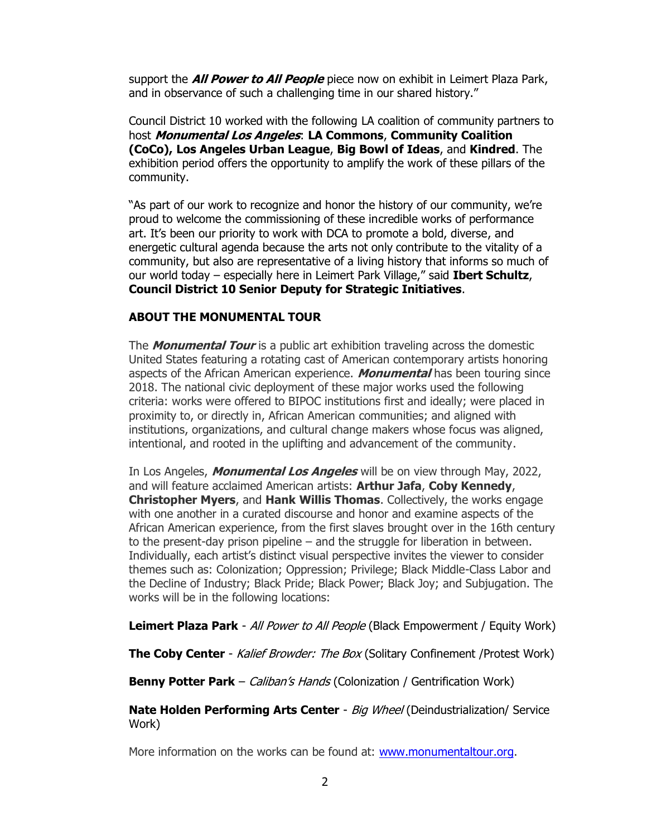support the **All Power to All People** piece now on exhibit in Leimert Plaza Park, and in observance of such a challenging time in our shared history."

Council District 10 worked with the following LA coalition of community partners to host **Monumental Los Angeles**: **LA Commons**, **Community Coalition (CoCo), Los Angeles Urban League**, **Big Bowl of Ideas**, and **Kindred**. The exhibition period offers the opportunity to amplify the work of these pillars of the community.

"As part of our work to recognize and honor the history of our community, we're proud to welcome the commissioning of these incredible works of performance art. It's been our priority to work with DCA to promote a bold, diverse, and energetic cultural agenda because the arts not only contribute to the vitality of a community, but also are representative of a living history that informs so much of our world today – especially here in Leimert Park Village," said **Ibert Schultz**, **Council District 10 Senior Deputy for Strategic Initiatives**.

## **ABOUT THE MONUMENTAL TOUR**

The **Monumental Tour** is a public art exhibition traveling across the domestic United States featuring a rotating cast of American contemporary artists honoring aspects of the African American experience. **Monumental** has been touring since 2018. The national civic deployment of these major works used the following criteria: works were offered to BIPOC institutions first and ideally; were placed in proximity to, or directly in, African American communities; and aligned with institutions, organizations, and cultural change makers whose focus was aligned, intentional, and rooted in the uplifting and advancement of the community.

In Los Angeles, **Monumental Los Angeles** will be on view through May, 2022, and will feature acclaimed American artists: **Arthur Jafa**, **Coby Kennedy**, **Christopher Myers**, and **Hank Willis Thomas**. Collectively, the works engage with one another in a curated discourse and honor and examine aspects of the African American experience, from the first slaves brought over in the 16th century to the present-day prison pipeline – and the struggle for liberation in between. Individually, each artist's distinct visual perspective invites the viewer to consider themes such as: Colonization; Oppression; Privilege; Black Middle-Class Labor and the Decline of Industry; Black Pride; Black Power; Black Joy; and Subjugation. The works will be in the following locations:

**Leimert Plaza Park** - All Power to All People (Black Empowerment / Equity Work)

**The Coby Center** - Kalief Browder: The Box (Solitary Confinement /Protest Work)

**Benny Potter Park** – *Caliban's Hands* (Colonization / Gentrification Work)

**Nate Holden Performing Arts Center** - Big Wheel (Deindustrialization/ Service Work)

More information on the works can be found at: [www.monumentaltour.org.](http://www.monumentaltour.org/)